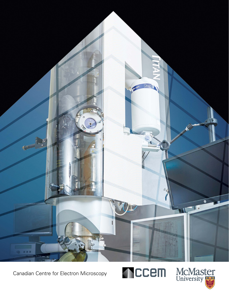

Canadian Centre for Electron Microscopy



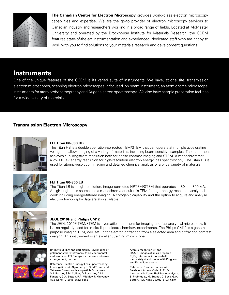

**The Canadian Centre for Electron Microscopy** provides world-class electron microscopy capabilities and expertise. We are the go-to provider of electron microscopy services to Canadian industry and researchers working in a broad range of fields. Located at McMaster University and operated by the Brockhouse Institute for Materials Research, the CCEM features state-of-the-art instrumentation and experienced, dedicated staff who are happy to work with you to find solutions to your materials research and development questions.

# **Instruments**

One of the unique features of the CCEM is its varied suite of instruments. We have, at one site, transmission electron microscopes, scanning electron microscopes, a focused ion beam instrument, an atomic force microscope, instruments for atom probe tomography and Auger electron spectroscopy. We also have sample preparation facilities for a wide variety of materials.

## **Transmission Electron Microscopy**



### **FEI Titan 80-300 HB**

The Titan HB is a double aberration-corrected TEM/STEM that can operate at multiple accelerating voltages to allow imaging of a variety of materials, including beam-sensitive samples. The instrument achieves sub-Ångstrom resolution both for phase contrast imaging and STEM. A monochromator allows 0.1eV energy resolution for high-resolution electron energy loss spectroscopy. The Titan HB is used for atomic-resolution imaging and detailed chemical analysis of a wide variety of materials.



### **FEI Titan 80-300 LB**

The Titan LB is a high-resolution, image-corrected HRTEM/STEM that operates at 80 and 300 keV. A high-brightness source and a monochromator suit this TEM for high-energy-resolution analytical work including energy-filtered imaging. A cryogenic capability and the option to acquire and analyse electron tomography data are also available.



#### **JEOL 2010F** and **Philips CM12**

The JEOL 2010F TEM/STEM is a versatile instrument for imaging and fast analytical microscopy. It is also regularly used for in-situ liquid electrochemistry experiments. The Philips CM12 is a general purpose imaging TEM, well set up for electron diffraction from a selected area and diffraction contrast imaging. This instrument is an excellent training microscope.



Bright-field TEM and dark-field STEM images of gold nanosphere tetramers, top. Experimental and simulated EELS maps for the same tetramer arrangement, bottom.

Reference: Electron Energy Loss Spectroscopy Investigation into Symmetry in Gold Trimer and Tetramer Plasmonic Nanoparticle Structures, S.J. Barrow, S.M. Collins, D. Rossouw, A.M. Funston, G.A. Botton, P.A. Midgley, P. Mulvaney, ACS Nano 10 (2016) 8552–8563

Atomic-resolution BF and HAADF images of an as-prepared Pt<sub>3</sub>Fe<sub>2</sub> intermetallic core–shell nanocatalyst and model with Pt (gray) and Fe (yellow) atoms.

Reference: Strained Lattice with Persistent Atomic Order in Pt $_{\tiny 3}$ Fe $_{\tiny 2}$ Intermetallic Core–Shell Nanocatalysts, S. Prabhudev, M. Bugnet, C. Bock, G.A. Botton, ACS Nano 7 (2013) 6103–6110

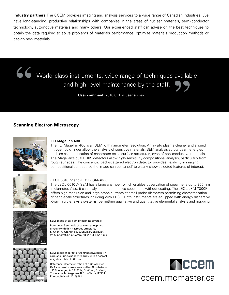**Industry partners** The CCEM provides imaging and analysis services to a wide range of Canadian industries. We have long-standing, productive relationships with companies in the areas of nuclear materials, semi-conductor technology, automotive materials and many others. Our experienced staff can advise on the best techniques to obtain the data required to solve problems of materials performance, optimize materials production methods or design new materials.

World-class instruments, wide range of techniques available and high-level maintenance by the staff.

**User comment,** 2016 CCEM user survey.

## **Scanning Electron Microscopy**



### **FEI Magellan 400**

The FEI Magellan 400 is an SEM with nanometer resolution. An in-situ plasma cleaner and a liquid nitrogen cold finger allow the analysis of sensitive materials. SEM analysis at low beam energies enables characterisation of nanometer-scale surface structures, even of non-conductive materials. The Magellan's dual EDXS detectors allow high-sensitivity compositional analysis, particularly from rough surfaces. The concentric back-scattered electron detector provides flexibility in imaging compositional contrast, so the image can be 'tuned' to clearly show selected features of interest.



#### **JEOL 6610LV** and **JEOL JSM-7000F**

The JEOL 6610LV SEM has a large chamber, which enables observation of specimens up to 200mm in diameter. Also, it can analyse non-conductive specimens without coating. The JEOL JSM-7000F offers high resolution and large probe currents at small probe diameters permitting characterization of nano-scale structures including with EBSD. Both instruments are equipped with energy dispersive X-ray micro-analysis systems, permitting qualitative and quantitative elemental analysis and mapping.



SEM image of calcium phosphate crystals.

Reference: Synthesis of calcium phosphate crystals with thin nacreous structure, S. Chen, K. Grandfield, Y. Shun, H. Engqvist, W. Xia, Cryst. Eng. Comm. 18 (2016) 1064-1069



SEM image at 15° tilt of AlInP passivated p-i-n core-shell GaAs nanowire array with a nearest neighbor pitch of 360 nm.

Reference: Characterization of a Ga-assisted GaAs nanowire array solar cell on Si substrate, J.P. Boulanger, A.C.E. Chia, B. Wood, S. Yazdi, T. Kasama, M. Aagesen, R.R. LaPierre, IEEE J.



# ccem.mcmaster.ca